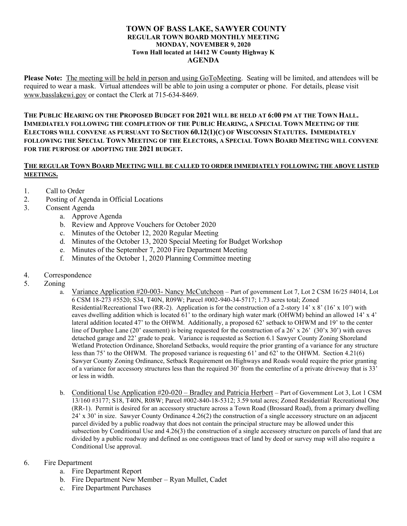## **TOWN OF BASS LAKE, SAWYER COUNTY REGULAR TOWN BOARD MONTHLY MEETING MONDAY, NOVEMBER 9, 2020 Town Hall located at 14412 W County Highway K AGENDA**

**Please Note:** The meeting will be held in person and using GoToMeeting. Seating will be limited, and attendees will be required to wear a mask. Virtual attendees will be able to join using a computer or phone. For details, please visit [www.basslakewi.gov](http://www.basslakewi.gov/) or contact the Clerk at 715-634-8469.

THE PUBLIC HEARING ON THE PROPOSED BUDGET FOR 2021 WILL BE HELD AT 6:00 PM AT THE TOWN HALL. **IMMEDIATELY FOLLOWING THE COMPLETION OF THE PUBLIC HEARING, A SPECIAL TOWN MEETING OF THE ELECTORS WILL CONVENE AS PURSUANT TO SECTION 60.12(1)(C) OF WISCONSIN STATUTES. IMMEDIATELY**  FOLLOWING THE SPECIAL TOWN MEETING OF THE ELECTORS, A SPECIAL TOWN BOARD MEETING WILL CONVENE **FOR THE PURPOSE OF ADOPTING THE 2021 BUDGET.** 

## **THE REGULAR TOWN BOARD MEETING WILL BE CALLED TO ORDER IMMEDIATELY FOLLOWING THE ABOVE LISTED MEETINGS.**

- 1. Call to Order
- 2. Posting of Agenda in Official Locations
- 3. Consent Agenda
	- a. Approve Agenda
	- b. Review and Approve Vouchers for October 2020
	- c. Minutes of the October 12, 2020 Regular Meeting
	- d. Minutes of the October 13, 2020 Special Meeting for Budget Workshop
	- e. Minutes of the September 7, 2020 Fire Department Meeting
	- f. Minutes of the October 1, 2020 Planning Committee meeting
- 4. Correspondence
- 5. Zoning
	- a. Variance Application #20-003- Nancy McCutcheon Part of government Lot 7, Lot 2 CSM 16/25 #4014, Lot 6 CSM 18-273 #5520; S34, T40N, R09W; Parcel #002-940-34-5717; 1.73 acres total; Zoned Residential/Recreational Two (RR-2). Application is for the construction of a 2-story 14' x 8' (16' x 10') with eaves dwelling addition which is located 61' to the ordinary high water mark (OHWM) behind an allowed 14' x 4' lateral addition located 47' to the OHWM. Additionally, a proposed 62' setback to OHWM and 19' to the center line of Durphee Lane (20' easement) is being requested for the construction of a 26' x 26' (30'x 30') with eaves detached garage and 22' grade to peak. Variance is requested as Section 6.1 Sawyer County Zoning Shoreland Wetland Protection Ordinance, Shoreland Setbacks, would require the prior granting of a variance for any structure less than 75' to the OHWM. The proposed variance is requesting 61' and 62' to the OHWM. Section 4.21(6) Sawyer County Zoning Ordinance, Setback Requirement on Highways and Roads would require the prior granting of a variance for accessory structures less than the required 30' from the centerline of a private driveway that is 33' or less in width.
	- b. Conditional Use Application #20-020 Bradley and Patricia Herbert Part of Government Lot 3, Lot 1 CSM 13/160 #3177; S18, T40N, R08W; Parcel #002-840-18-5312; 3.59 total acres; Zoned Residential/ Recreational One (RR-1). Permit is desired for an accessory structure across a Town Road (Brossard Road), from a primary dwelling 24' x 30' in size. Sawyer County Ordinance 4.26(2) the construction of a single accessory structure on an adjacent parcel divided by a public roadway that does not contain the principal structure may be allowed under this subsection by Conditional Use and 4.26(3) the construction of a single accessory structure on parcels of land that are divided by a public roadway and defined as one contiguous tract of land by deed or survey map will also require a Conditional Use approval.

## 6. Fire Department

- a. Fire Department Report
- b. Fire Department New Member Ryan Mullet, Cadet
- c. Fire Department Purchases